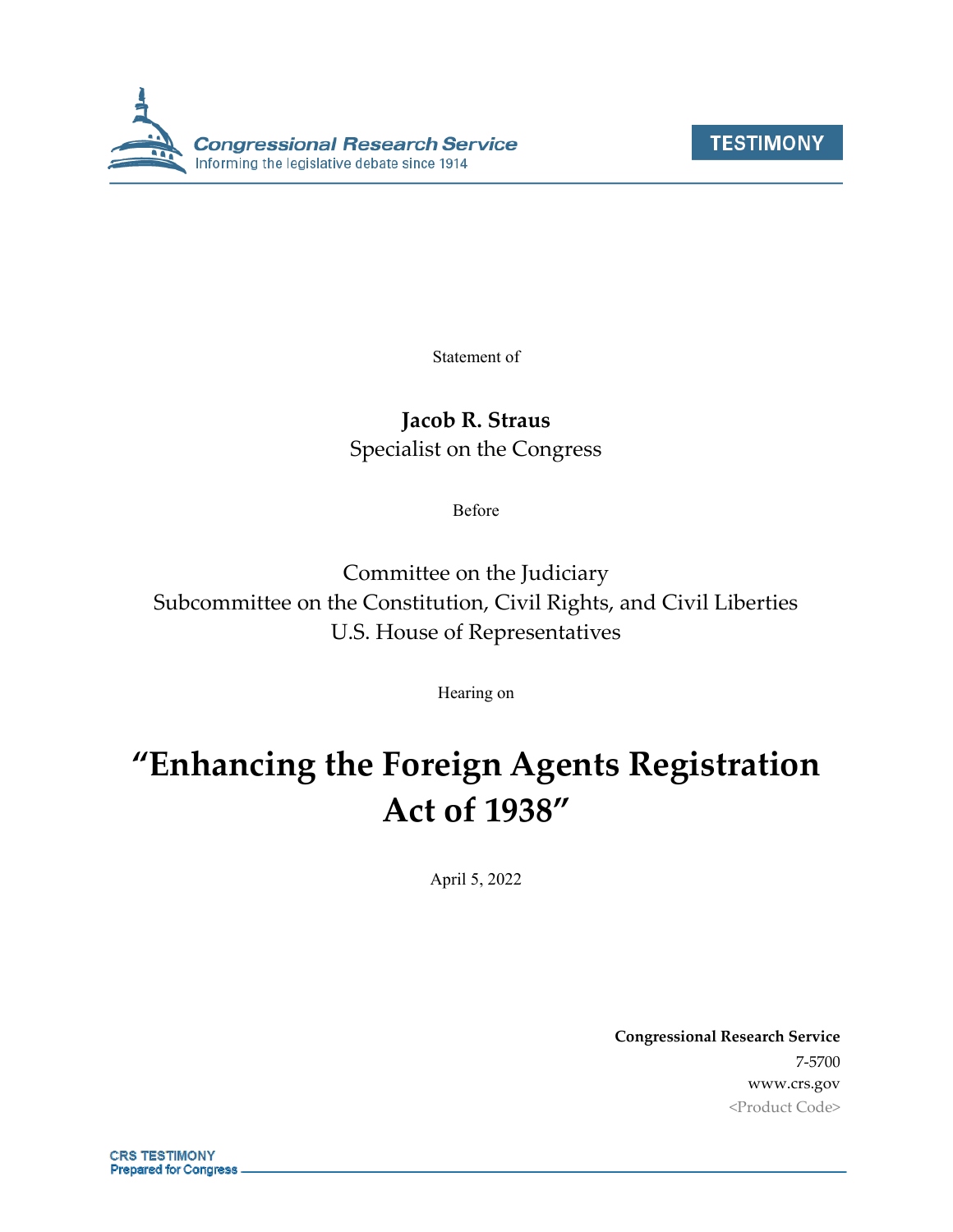



Statement of

# **Jacob R. Straus**

Specialist on the Congress

Before

Committee on the Judiciary Subcommittee on the Constitution, Civil Rights, and Civil Liberties U.S. House of Representatives

Hearing on

# **"Enhancing the Foreign Agents Registration Act of 1938"**

April 5, 2022

**Congressional Research Service** 7-5700 www.crs.gov <Product Code>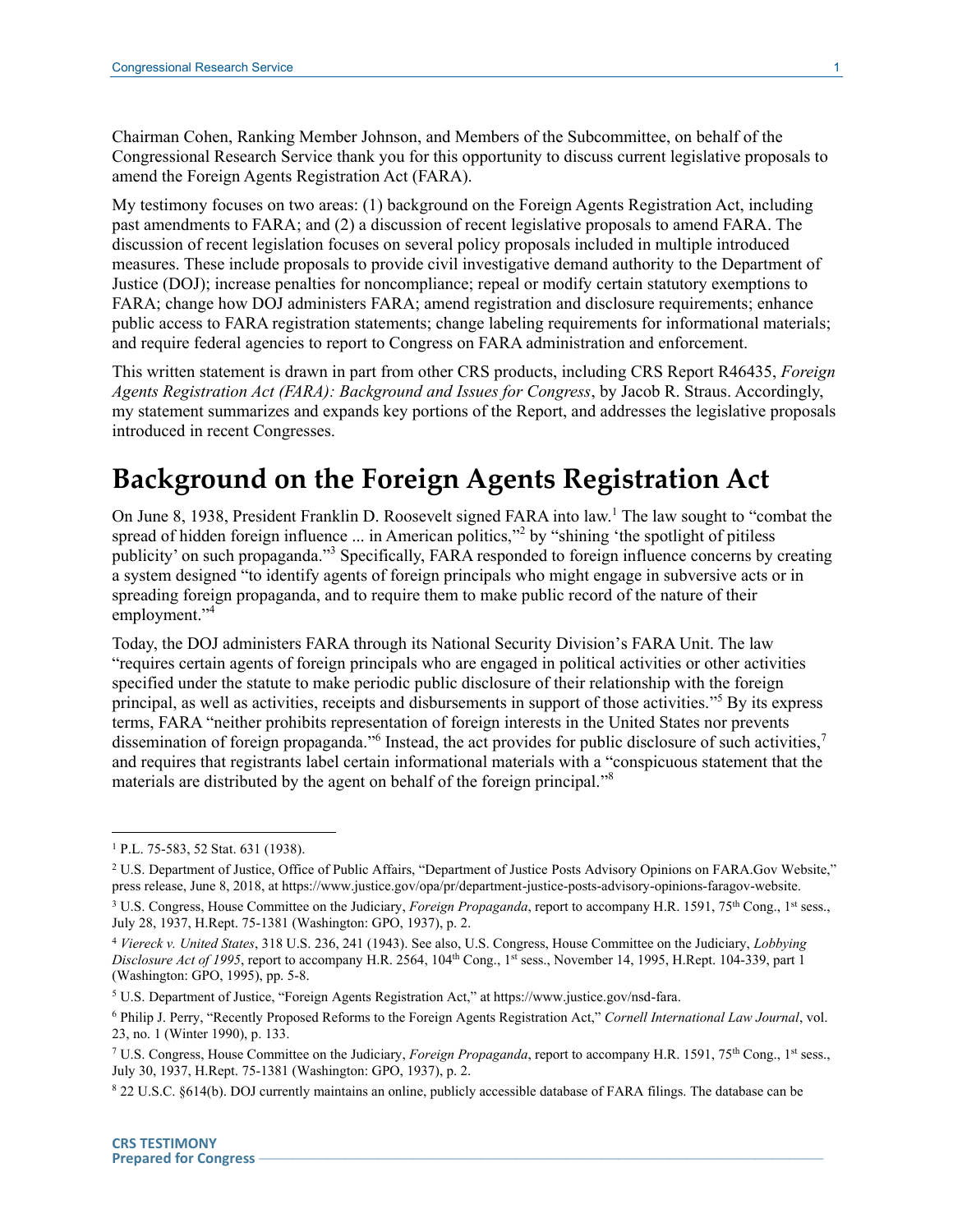Chairman Cohen, Ranking Member Johnson, and Members of the Subcommittee, on behalf of the Congressional Research Service thank you for this opportunity to discuss current legislative proposals to amend the Foreign Agents Registration Act (FARA).

My testimony focuses on two areas: (1) background on the Foreign Agents Registration Act, including past amendments to FARA; and (2) a discussion of recent legislative proposals to amend FARA. The discussion of recent legislation focuses on several policy proposals included in multiple introduced measures. These include proposals to provide civil investigative demand authority to the Department of Justice (DOJ); increase penalties for noncompliance; repeal or modify certain statutory exemptions to FARA; change how DOJ administers FARA; amend registration and disclosure requirements; enhance public access to FARA registration statements; change labeling requirements for informational materials; and require federal agencies to report to Congress on FARA administration and enforcement.

This written statement is drawn in part from other CRS products, including CRS Report R46435, *Foreign Agents Registration Act (FARA): Background and Issues for Congress*, by Jacob R. Straus. Accordingly, my statement summarizes and expands key portions of the Report, and addresses the legislative proposals introduced in recent Congresses.

# **Background on the Foreign Agents Registration Act**

On June 8, 1938, President Franklin D. Roosevelt signed FARA into law.<sup>1</sup> The law sought to "combat the spread of hidden foreign influence ... in American politics,"<sup>2</sup> by "shining 'the spotlight of pitiless publicity' on such propaganda."<sup>3</sup> Specifically, FARA responded to foreign influence concerns by creating a system designed "to identify agents of foreign principals who might engage in subversive acts or in spreading foreign propaganda, and to require them to make public record of the nature of their employment."<sup>4</sup>

Today, the DOJ administers FARA through its National Security Division's FARA Unit. The law "requires certain agents of foreign principals who are engaged in political activities or other activities specified under the statute to make periodic public disclosure of their relationship with the foreign principal, as well as activities, receipts and disbursements in support of those activities."<sup>5</sup> By its express terms, FARA "neither prohibits representation of foreign interests in the United States nor prevents dissemination of foreign propaganda." Instead, the act provides for public disclosure of such activities,<sup>7</sup> and requires that registrants label certain informational materials with a "conspicuous statement that the materials are distributed by the agent on behalf of the foreign principal."<sup>8</sup>

<sup>1</sup> P.L. 75-583, 52 Stat. 631 (1938).

<sup>&</sup>lt;sup>2</sup> U.S. Department of Justice, Office of Public Affairs, "Department of Justice Posts Advisory Opinions on FARA.Gov Website," press release, June 8, 2018, at https://www.justice.gov/opa/pr/department-justice-posts-advisory-opinions-faragov-website. <sup>3</sup> U.S. Congress, House Committee on the Judiciary, *Foreign Propaganda*, report to accompany H.R. 1591, 75<sup>th</sup> Cong., 1<sup>st</sup> sess.,

July 28, 1937, H.Rept. 75-1381 (Washington: GPO, 1937), p. 2.

<sup>4</sup> *Viereck v. United States*, 318 U.S. 236, 241 (1943). See also, U.S. Congress, House Committee on the Judiciary, *Lobbying Disclosure Act of 1995*, report to accompany H.R. 2564, 104th Cong., 1st sess., November 14, 1995, H.Rept. 104-339, part 1 (Washington: GPO, 1995), pp. 5-8.

<sup>5</sup> U.S. Department of Justice, "Foreign Agents Registration Act," at https://www.justice.gov/nsd-fara.

<sup>6</sup> Philip J. Perry, "Recently Proposed Reforms to the Foreign Agents Registration Act," *Cornell International Law Journal*, vol. 23, no. 1 (Winter 1990), p. 133.

<sup>7</sup> U.S. Congress, House Committee on the Judiciary, *Foreign Propaganda*, report to accompany H.R. 1591, 75th Cong., 1st sess., July 30, 1937, H.Rept. 75-1381 (Washington: GPO, 1937), p. 2.

<sup>8</sup> 22 U.S.C. §614(b). DOJ currently maintains an online, publicly accessible database of FARA filings. The database can be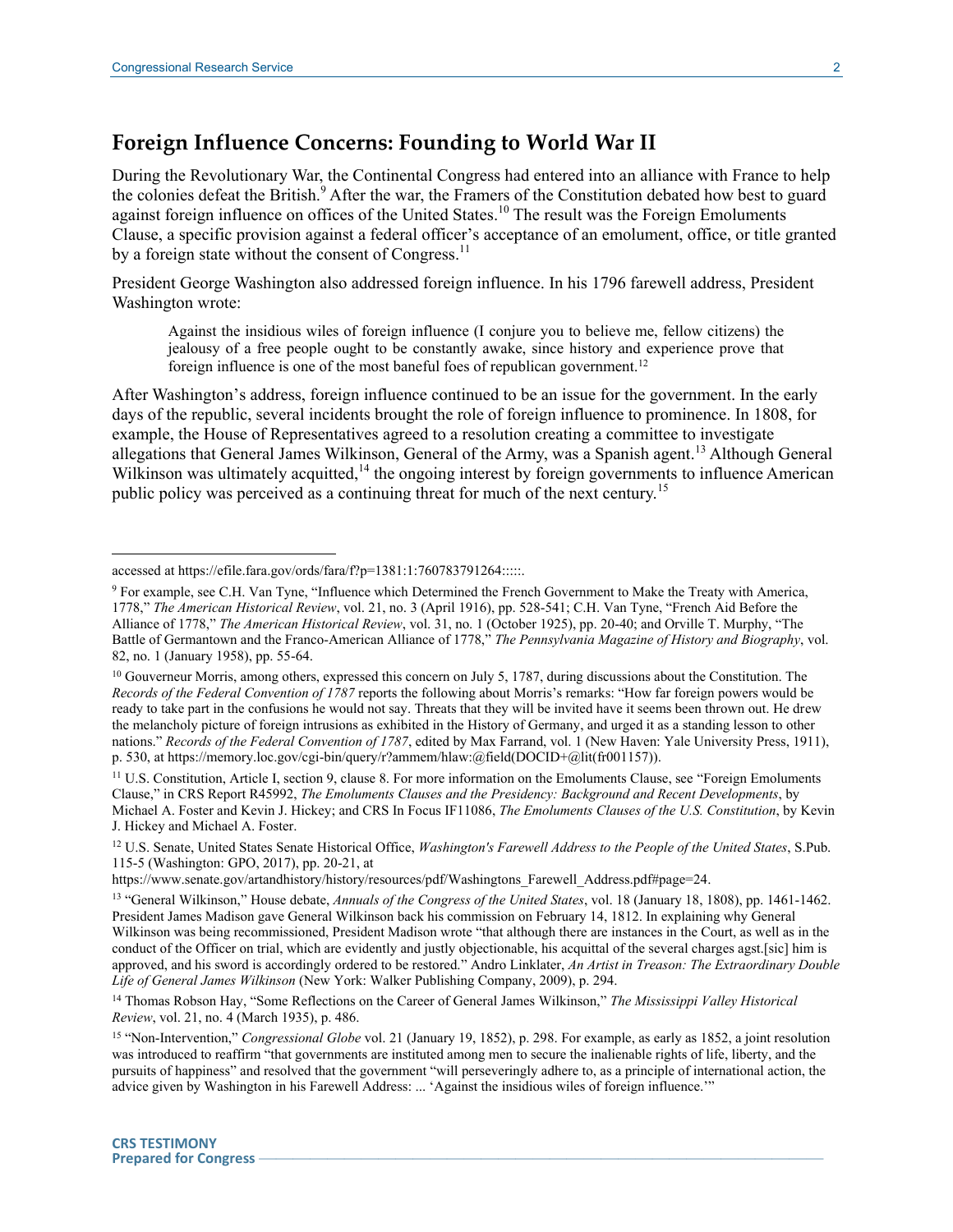$\overline{a}$ 

#### **Foreign Influence Concerns: Founding to World War II**

During the Revolutionary War, the Continental Congress had entered into an alliance with France to help the colonies defeat the British.<sup>9</sup> After the war, the Framers of the Constitution debated how best to guard against foreign influence on offices of the United States.<sup>10</sup> The result was the Foreign Emoluments Clause, a specific provision against a federal officer's acceptance of an emolument, office, or title granted by a foreign state without the consent of Congress.<sup>11</sup>

President George Washington also addressed foreign influence. In his 1796 farewell address, President Washington wrote:

Against the insidious wiles of foreign influence (I conjure you to believe me, fellow citizens) the jealousy of a free people ought to be constantly awake, since history and experience prove that foreign influence is one of the most baneful foes of republican government.<sup>12</sup>

After Washington's address, foreign influence continued to be an issue for the government. In the early days of the republic, several incidents brought the role of foreign influence to prominence. In 1808, for example, the House of Representatives agreed to a resolution creating a committee to investigate allegations that General James Wilkinson, General of the Army, was a Spanish agent.<sup>13</sup> Although General Wilkinson was ultimately acquitted,<sup>14</sup> the ongoing interest by foreign governments to influence American public policy was perceived as a continuing threat for much of the next century.<sup>15</sup>

<sup>11</sup> U.S. Constitution, Article I, section 9, clause 8. For more information on the Emoluments Clause, see "Foreign Emoluments Clause," in CRS Report R45992, *The Emoluments Clauses and the Presidency: Background and Recent Developments*, by Michael A. Foster and Kevin J. Hickey; and CRS In Focus IF11086, *The Emoluments Clauses of the U.S. Constitution*, by Kevin J. Hickey and Michael A. Foster.

accessed at https://efile.fara.gov/ords/fara/f?p=1381:1:760783791264:::::.

<sup>9</sup> For example, see C.H. Van Tyne, "Influence which Determined the French Government to Make the Treaty with America, 1778," *The American Historical Review*, vol. 21, no. 3 (April 1916), pp. 528-541; C.H. Van Tyne, "French Aid Before the Alliance of 1778," *The American Historical Review*, vol. 31, no. 1 (October 1925), pp. 20-40; and Orville T. Murphy, "The Battle of Germantown and the Franco-American Alliance of 1778," *The Pennsylvania Magazine of History and Biography*, vol. 82, no. 1 (January 1958), pp. 55-64.

<sup>&</sup>lt;sup>10</sup> Gouverneur Morris, among others, expressed this concern on July 5, 1787, during discussions about the Constitution. The *Records of the Federal Convention of 1787* reports the following about Morris's remarks: "How far foreign powers would be ready to take part in the confusions he would not say. Threats that they will be invited have it seems been thrown out. He drew the melancholy picture of foreign intrusions as exhibited in the History of Germany, and urged it as a standing lesson to other nations." *Records of the Federal Convention of 1787*, edited by Max Farrand, vol. 1 (New Haven: Yale University Press, 1911), p. 530, at https://memory.loc.gov/cgi-bin/query/r?ammem/hlaw:@field(DOCID+@lit(fr001157)).

<sup>12</sup> U.S. Senate, United States Senate Historical Office, *Washington's Farewell Address to the People of the United States*, S.Pub. 115-5 (Washington: GPO, 2017), pp. 20-21, at

https://www.senate.gov/artandhistory/history/resources/pdf/Washingtons\_Farewell\_Address.pdf#page=24.

<sup>&</sup>lt;sup>13</sup> "General Wilkinson," House debate, *Annuals of the Congress of the United States*, vol. 18 (January 18, 1808), pp. 1461-1462. President James Madison gave General Wilkinson back his commission on February 14, 1812. In explaining why General Wilkinson was being recommissioned, President Madison wrote "that although there are instances in the Court, as well as in the conduct of the Officer on trial, which are evidently and justly objectionable, his acquittal of the several charges agst.[sic] him is approved, and his sword is accordingly ordered to be restored." Andro Linklater, *An Artist in Treason: The Extraordinary Double Life of General James Wilkinson* (New York: Walker Publishing Company, 2009), p. 294.

<sup>14</sup> Thomas Robson Hay, "Some Reflections on the Career of General James Wilkinson," *The Mississippi Valley Historical Review*, vol. 21, no. 4 (March 1935), p. 486.

<sup>&</sup>lt;sup>15</sup> "Non-Intervention," *Congressional Globe* vol. 21 (January 19, 1852), p. 298. For example, as early as 1852, a joint resolution was introduced to reaffirm "that governments are instituted among men to secure the inalienable rights of life, liberty, and the pursuits of happiness" and resolved that the government "will perseveringly adhere to, as a principle of international action, the advice given by Washington in his Farewell Address: ... 'Against the insidious wiles of foreign influence.'"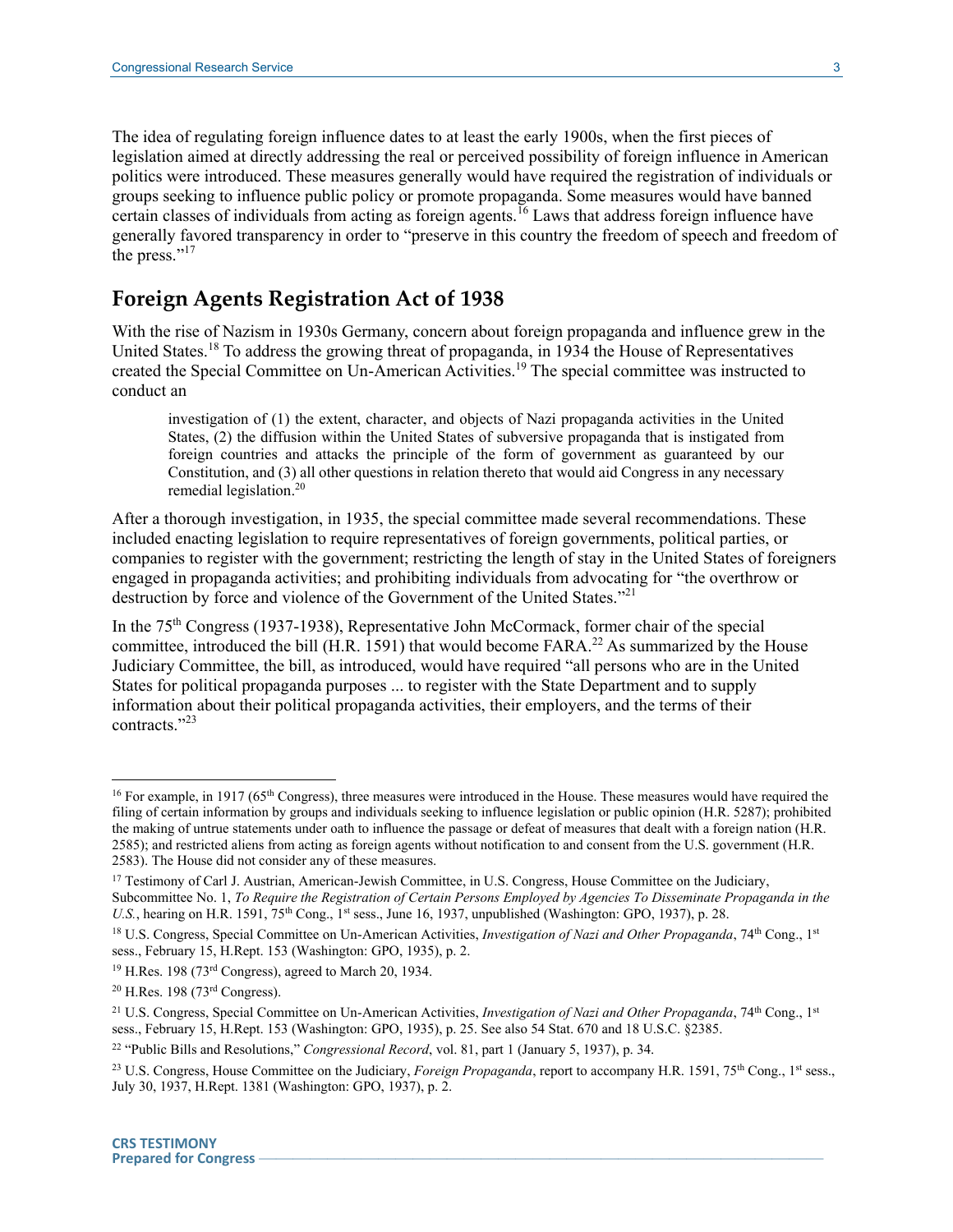The idea of regulating foreign influence dates to at least the early 1900s, when the first pieces of legislation aimed at directly addressing the real or perceived possibility of foreign influence in American politics were introduced. These measures generally would have required the registration of individuals or groups seeking to influence public policy or promote propaganda. Some measures would have banned certain classes of individuals from acting as foreign agents.<sup>16</sup> Laws that address foreign influence have generally favored transparency in order to "preserve in this country the freedom of speech and freedom of the press."<sup>17</sup>

### **Foreign Agents Registration Act of 1938**

With the rise of Nazism in 1930s Germany, concern about foreign propaganda and influence grew in the United States.<sup>18</sup> To address the growing threat of propaganda, in 1934 the House of Representatives created the Special Committee on Un-American Activities.<sup>19</sup> The special committee was instructed to conduct an

investigation of (1) the extent, character, and objects of Nazi propaganda activities in the United States, (2) the diffusion within the United States of subversive propaganda that is instigated from foreign countries and attacks the principle of the form of government as guaranteed by our Constitution, and (3) all other questions in relation thereto that would aid Congress in any necessary remedial legislation.<sup>20</sup>

After a thorough investigation, in 1935, the special committee made several recommendations. These included enacting legislation to require representatives of foreign governments, political parties, or companies to register with the government; restricting the length of stay in the United States of foreigners engaged in propaganda activities; and prohibiting individuals from advocating for "the overthrow or destruction by force and violence of the Government of the United States."<sup>21</sup>

In the 75<sup>th</sup> Congress (1937-1938), Representative John McCormack, former chair of the special committee, introduced the bill (H.R. 1591) that would become FARA.<sup>22</sup> As summarized by the House Judiciary Committee, the bill, as introduced, would have required "all persons who are in the United States for political propaganda purposes ... to register with the State Department and to supply information about their political propaganda activities, their employers, and the terms of their contracts." 23

<sup>&</sup>lt;sup>16</sup> For example, in 1917 (65<sup>th</sup> Congress), three measures were introduced in the House. These measures would have required the filing of certain information by groups and individuals seeking to influence legislation or public opinion (H.R. 5287); prohibited the making of untrue statements under oath to influence the passage or defeat of measures that dealt with a foreign nation (H.R. 2585); and restricted aliens from acting as foreign agents without notification to and consent from the U.S. government (H.R. 2583). The House did not consider any of these measures.

<sup>&</sup>lt;sup>17</sup> Testimony of Carl J. Austrian, American-Jewish Committee, in U.S. Congress, House Committee on the Judiciary, Subcommittee No. 1, *To Require the Registration of Certain Persons Employed by Agencies To Disseminate Propaganda in the U.S.*, hearing on H.R. 1591, 75<sup>th</sup> Cong., 1<sup>st</sup> sess., June 16, 1937, unpublished (Washington: GPO, 1937), p. 28.

<sup>&</sup>lt;sup>18</sup> U.S. Congress, Special Committee on Un-American Activities, *Investigation of Nazi and Other Propaganda*, 74<sup>th</sup> Cong., 1<sup>st</sup> sess., February 15, H.Rept. 153 (Washington: GPO, 1935), p. 2.

<sup>&</sup>lt;sup>19</sup> H.Res. 198 (73<sup>rd</sup> Congress), agreed to March 20, 1934.

 $20$  H.Res. 198 (73 $rd$  Congress).

<sup>&</sup>lt;sup>21</sup> U.S. Congress, Special Committee on Un-American Activities, *Investigation of Nazi and Other Propaganda*, 74<sup>th</sup> Cong., 1<sup>st</sup> sess., February 15, H.Rept. 153 (Washington: GPO, 1935), p. 25. See also 54 Stat. 670 and 18 U.S.C. §2385.

<sup>22</sup> "Public Bills and Resolutions," *Congressional Record*, vol. 81, part 1 (January 5, 1937), p. 34.

<sup>&</sup>lt;sup>23</sup> U.S. Congress, House Committee on the Judiciary, *Foreign Propaganda*, report to accompany H.R. 1591, 75<sup>th</sup> Cong., 1<sup>st</sup> sess., July 30, 1937, H.Rept. 1381 (Washington: GPO, 1937), p. 2.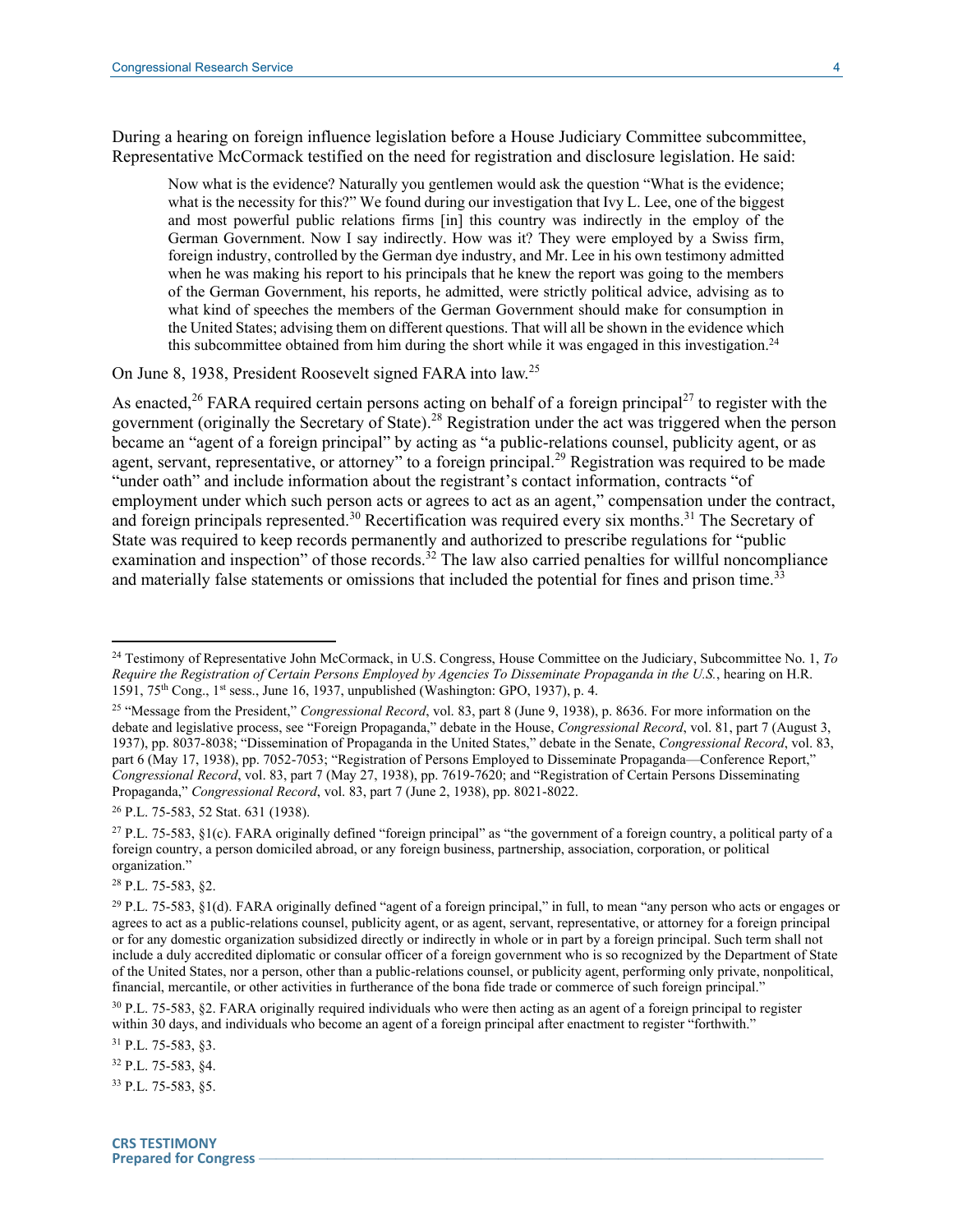During a hearing on foreign influence legislation before a House Judiciary Committee subcommittee, Representative McCormack testified on the need for registration and disclosure legislation. He said:

Now what is the evidence? Naturally you gentlemen would ask the question "What is the evidence; what is the necessity for this?" We found during our investigation that Ivy L. Lee, one of the biggest and most powerful public relations firms [in] this country was indirectly in the employ of the German Government. Now I say indirectly. How was it? They were employed by a Swiss firm, foreign industry, controlled by the German dye industry, and Mr. Lee in his own testimony admitted when he was making his report to his principals that he knew the report was going to the members of the German Government, his reports, he admitted, were strictly political advice, advising as to what kind of speeches the members of the German Government should make for consumption in the United States; advising them on different questions. That will all be shown in the evidence which this subcommittee obtained from him during the short while it was engaged in this investigation.<sup>24</sup>

On June 8, 1938, President Roosevelt signed FARA into law.<sup>25</sup>

As enacted,<sup>26</sup> FARA required certain persons acting on behalf of a foreign principal<sup>27</sup> to register with the government (originally the Secretary of State). <sup>28</sup> Registration under the act was triggered when the person became an "agent of a foreign principal" by acting as "a public-relations counsel, publicity agent, or as agent, servant, representative, or attorney" to a foreign principal.<sup>29</sup> Registration was required to be made "under oath" and include information about the registrant's contact information, contracts "of employment under which such person acts or agrees to act as an agent," compensation under the contract, and foreign principals represented.<sup>30</sup> Recertification was required every six months.<sup>31</sup> The Secretary of State was required to keep records permanently and authorized to prescribe regulations for "public examination and inspection" of those records.<sup>32</sup> The law also carried penalties for willful noncompliance and materially false statements or omissions that included the potential for fines and prison time.<sup>33</sup>

<sup>28</sup> P.L. 75-583, §2.

 $\overline{a}$ 

<sup>31</sup> P.L. 75-583, §3.

<sup>32</sup> P.L. 75-583, §4.

<sup>33</sup> P.L. 75-583, §5.

<sup>24</sup> Testimony of Representative John McCormack, in U.S. Congress, House Committee on the Judiciary, Subcommittee No. 1, *To Require the Registration of Certain Persons Employed by Agencies To Disseminate Propaganda in the U.S.*, hearing on H.R. 1591, 75th Cong., 1st sess., June 16, 1937, unpublished (Washington: GPO, 1937), p. 4.

<sup>25</sup> "Message from the President," *Congressional Record*, vol. 83, part 8 (June 9, 1938), p. 8636. For more information on the debate and legislative process, see "Foreign Propaganda," debate in the House, *Congressional Record*, vol. 81, part 7 (August 3, 1937), pp. 8037-8038; "Dissemination of Propaganda in the United States," debate in the Senate, *Congressional Record*, vol. 83, part 6 (May 17, 1938), pp. 7052-7053; "Registration of Persons Employed to Disseminate Propaganda—Conference Report," *Congressional Record*, vol. 83, part 7 (May 27, 1938), pp. 7619-7620; and "Registration of Certain Persons Disseminating Propaganda," *Congressional Record*, vol. 83, part 7 (June 2, 1938), pp. 8021-8022.

<sup>26</sup> P.L. 75-583, 52 Stat. 631 (1938).

<sup>&</sup>lt;sup>27</sup> P.L. 75-583,  $\S1(c)$ . FARA originally defined "foreign principal" as "the government of a foreign country, a political party of a foreign country, a person domiciled abroad, or any foreign business, partnership, association, corporation, or political organization."

<sup>&</sup>lt;sup>29</sup> P.L. 75-583, §1(d). FARA originally defined "agent of a foreign principal," in full, to mean "any person who acts or engages or agrees to act as a public-relations counsel, publicity agent, or as agent, servant, representative, or attorney for a foreign principal or for any domestic organization subsidized directly or indirectly in whole or in part by a foreign principal. Such term shall not include a duly accredited diplomatic or consular officer of a foreign government who is so recognized by the Department of State of the United States, nor a person, other than a public-relations counsel, or publicity agent, performing only private, nonpolitical, financial, mercantile, or other activities in furtherance of the bona fide trade or commerce of such foreign principal."

<sup>30</sup> P.L. 75-583, §2. FARA originally required individuals who were then acting as an agent of a foreign principal to register within 30 days, and individuals who become an agent of a foreign principal after enactment to register "forthwith."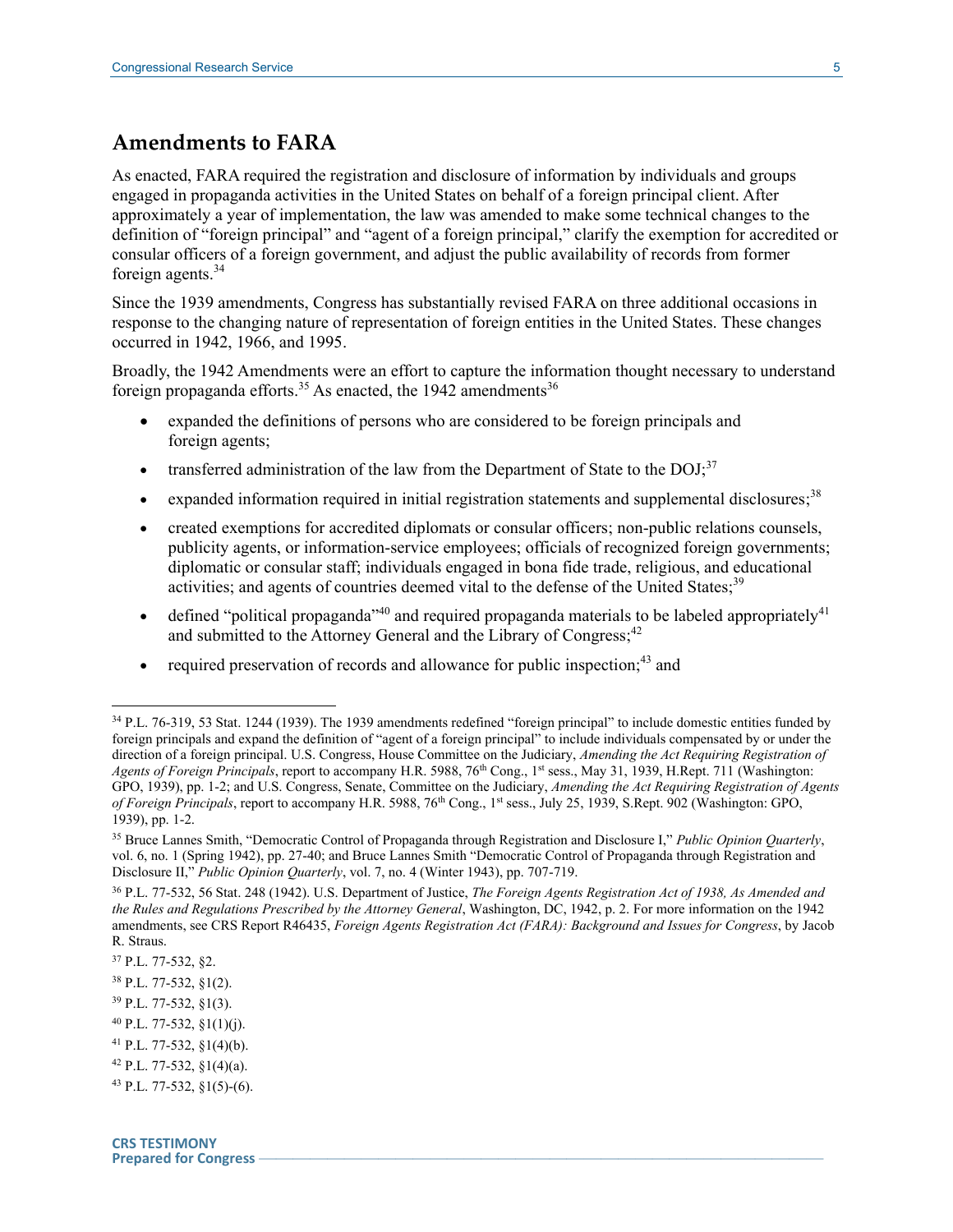#### **Amendments to FARA**

As enacted, FARA required the registration and disclosure of information by individuals and groups engaged in propaganda activities in the United States on behalf of a foreign principal client. After approximately a year of implementation, the law was amended to make some technical changes to the definition of "foreign principal" and "agent of a foreign principal," clarify the exemption for accredited or consular officers of a foreign government, and adjust the public availability of records from former foreign agents. $34$ 

Since the 1939 amendments, Congress has substantially revised FARA on three additional occasions in response to the changing nature of representation of foreign entities in the United States. These changes occurred in 1942, 1966, and 1995.

Broadly, the 1942 Amendments were an effort to capture the information thought necessary to understand foreign propaganda efforts.<sup>35</sup> As enacted, the 1942 amendments<sup>36</sup>

- expanded the definitions of persons who are considered to be foreign principals and foreign agents;
- transferred administration of the law from the Department of State to the  $DOJ<sub>1</sub><sup>37</sup>$
- expanded information required in initial registration statements and supplemental disclosures;<sup>38</sup>
- created exemptions for accredited diplomats or consular officers; non-public relations counsels, publicity agents, or information-service employees; officials of recognized foreign governments; diplomatic or consular staff; individuals engaged in bona fide trade, religious, and educational activities; and agents of countries deemed vital to the defense of the United States;<sup>39</sup>
- defined "political propaganda"<sup>40</sup> and required propaganda materials to be labeled appropriately<sup>41</sup> and submitted to the Attorney General and the Library of Congress;<sup>42</sup>
- required preservation of records and allowance for public inspection;  $43$  and

- <sup>39</sup> P.L. 77-532, §1(3).
- $^{40}$  P.L. 77-532, §1(1)(j).
- <sup>41</sup> P.L. 77-532, §1(4)(b).

<sup>34</sup> P.L. 76-319, 53 Stat. 1244 (1939). The 1939 amendments redefined "foreign principal" to include domestic entities funded by foreign principals and expand the definition of "agent of a foreign principal" to include individuals compensated by or under the direction of a foreign principal. U.S. Congress, House Committee on the Judiciary, *Amending the Act Requiring Registration of Agents of Foreign Principals*, report to accompany H.R. 5988, 76<sup>th</sup> Cong., 1<sup>st</sup> sess., May 31, 1939, H.Rept. 711 (Washington: GPO, 1939), pp. 1-2; and U.S. Congress, Senate, Committee on the Judiciary, *Amending the Act Requiring Registration of Agents of Foreign Principals*, report to accompany H.R. 5988, 76<sup>th</sup> Cong., 1<sup>st</sup> sess., July 25, 1939, S.Rept. 902 (Washington: GPO, 1939), pp. 1-2.

<sup>35</sup> Bruce Lannes Smith, "Democratic Control of Propaganda through Registration and Disclosure I," *Public Opinion Quarterly*, vol. 6, no. 1 (Spring 1942), pp. 27-40; and Bruce Lannes Smith "Democratic Control of Propaganda through Registration and Disclosure II," *Public Opinion Quarterly*, vol. 7, no. 4 (Winter 1943), pp. 707-719.

<sup>36</sup> P.L. 77-532, 56 Stat. 248 (1942). U.S. Department of Justice, *The Foreign Agents Registration Act of 1938, As Amended and the Rules and Regulations Prescribed by the Attorney General*, Washington, DC, 1942, p. 2. For more information on the 1942 amendments, see CRS Report R46435, *Foreign Agents Registration Act (FARA): Background and Issues for Congress*, by Jacob R. Straus.

<sup>37</sup> P.L. 77-532, §2.

<sup>38</sup> P.L. 77-532, §1(2).

<sup>42</sup> P.L. 77-532, §1(4)(a).

<sup>43</sup> P.L. 77-532, §1(5)-(6).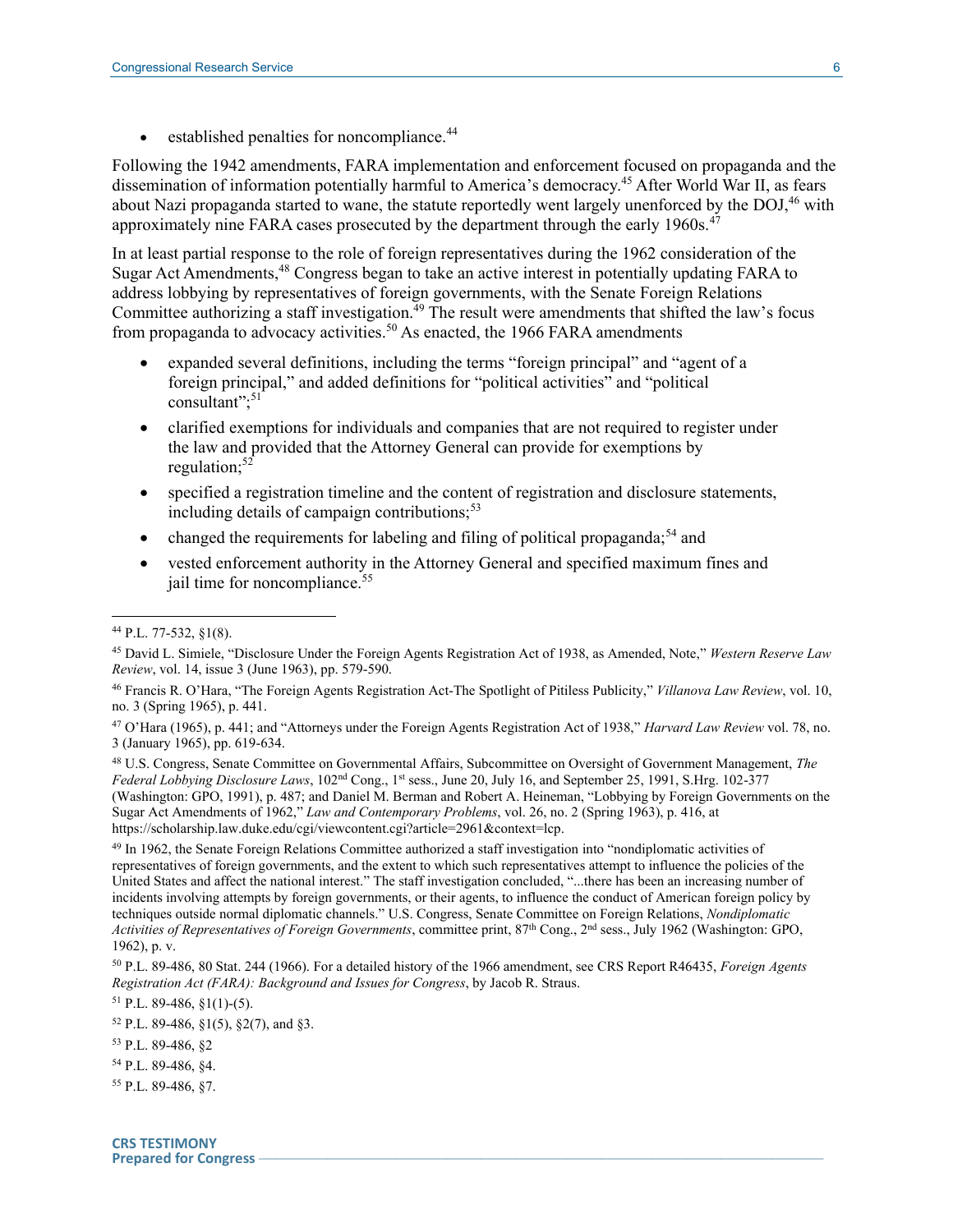established penalties for noncompliance.<sup>44</sup>

Following the 1942 amendments, FARA implementation and enforcement focused on propaganda and the dissemination of information potentially harmful to America's democracy.<sup>45</sup> After World War II, as fears about Nazi propaganda started to wane, the statute reportedly went largely unenforced by the DOJ,<sup>46</sup> with approximately nine FARA cases prosecuted by the department through the early 1960s.<sup>47</sup>

In at least partial response to the role of foreign representatives during the 1962 consideration of the Sugar Act Amendments,<sup>48</sup> Congress began to take an active interest in potentially updating FARA to address lobbying by representatives of foreign governments, with the Senate Foreign Relations Committee authorizing a staff investigation.<sup>49</sup> The result were amendments that shifted the law's focus from propaganda to advocacy activities.<sup>50</sup> As enacted, the 1966 FARA amendments

- expanded several definitions, including the terms "foreign principal" and "agent of a foreign principal," and added definitions for "political activities" and "political consultant"; 51
- clarified exemptions for individuals and companies that are not required to register under the law and provided that the Attorney General can provide for exemptions by regulation; $52$
- specified a registration timeline and the content of registration and disclosure statements, including details of campaign contributions;<sup>53</sup>
- changed the requirements for labeling and filing of political propaganda;<sup>54</sup> and
- vested enforcement authority in the Attorney General and specified maximum fines and jail time for noncompliance.<sup>55</sup>

 $\overline{a}$ 

<sup>48</sup> U.S. Congress, Senate Committee on Governmental Affairs, Subcommittee on Oversight of Government Management, *The Federal Lobbying Disclosure Laws*, 102nd Cong., 1st sess., June 20, July 16, and September 25, 1991, S.Hrg. 102-377 (Washington: GPO, 1991), p. 487; and Daniel M. Berman and Robert A. Heineman, "Lobbying by Foreign Governments on the Sugar Act Amendments of 1962," *Law and Contemporary Problems*, vol. 26, no. 2 (Spring 1963), p. 416, at https://scholarship.law.duke.edu/cgi/viewcontent.cgi?article=2961&context=lcp.

<sup>49</sup> In 1962, the Senate Foreign Relations Committee authorized a staff investigation into "nondiplomatic activities of representatives of foreign governments, and the extent to which such representatives attempt to influence the policies of the United States and affect the national interest." The staff investigation concluded, "...there has been an increasing number of incidents involving attempts by foreign governments, or their agents, to influence the conduct of American foreign policy by techniques outside normal diplomatic channels." U.S. Congress, Senate Committee on Foreign Relations, *Nondiplomatic*  Activities of Representatives of Foreign Governments, committee print, 87<sup>th</sup> Cong., 2<sup>nd</sup> sess., July 1962 (Washington: GPO, 1962), p. v.

<sup>50</sup> P.L. 89-486, 80 Stat. 244 (1966). For a detailed history of the 1966 amendment, see CRS Report R46435, *Foreign Agents Registration Act (FARA): Background and Issues for Congress*, by Jacob R. Straus.

 $51$  P.L. 89-486, §1(1)-(5).

<sup>52</sup> P.L. 89-486, §1(5), §2(7), and §3.

<sup>54</sup> P.L. 89-486, §4.

<sup>44</sup> P.L. 77-532, §1(8).

<sup>45</sup> David L. Simiele, "Disclosure Under the Foreign Agents Registration Act of 1938, as Amended, Note," *Western Reserve Law Review*, vol. 14, issue 3 (June 1963), pp. 579-590.

<sup>46</sup> Francis R. O'Hara, "The Foreign Agents Registration Act-The Spotlight of Pitiless Publicity," *Villanova Law Review*, vol. 10, no. 3 (Spring 1965), p. 441.

<sup>47</sup> O'Hara (1965), p. 441; and "Attorneys under the Foreign Agents Registration Act of 1938," *Harvard Law Review* vol. 78, no. 3 (January 1965), pp. 619-634.

<sup>53</sup> P.L. 89-486, §2

<sup>55</sup> P.L. 89-486, §7.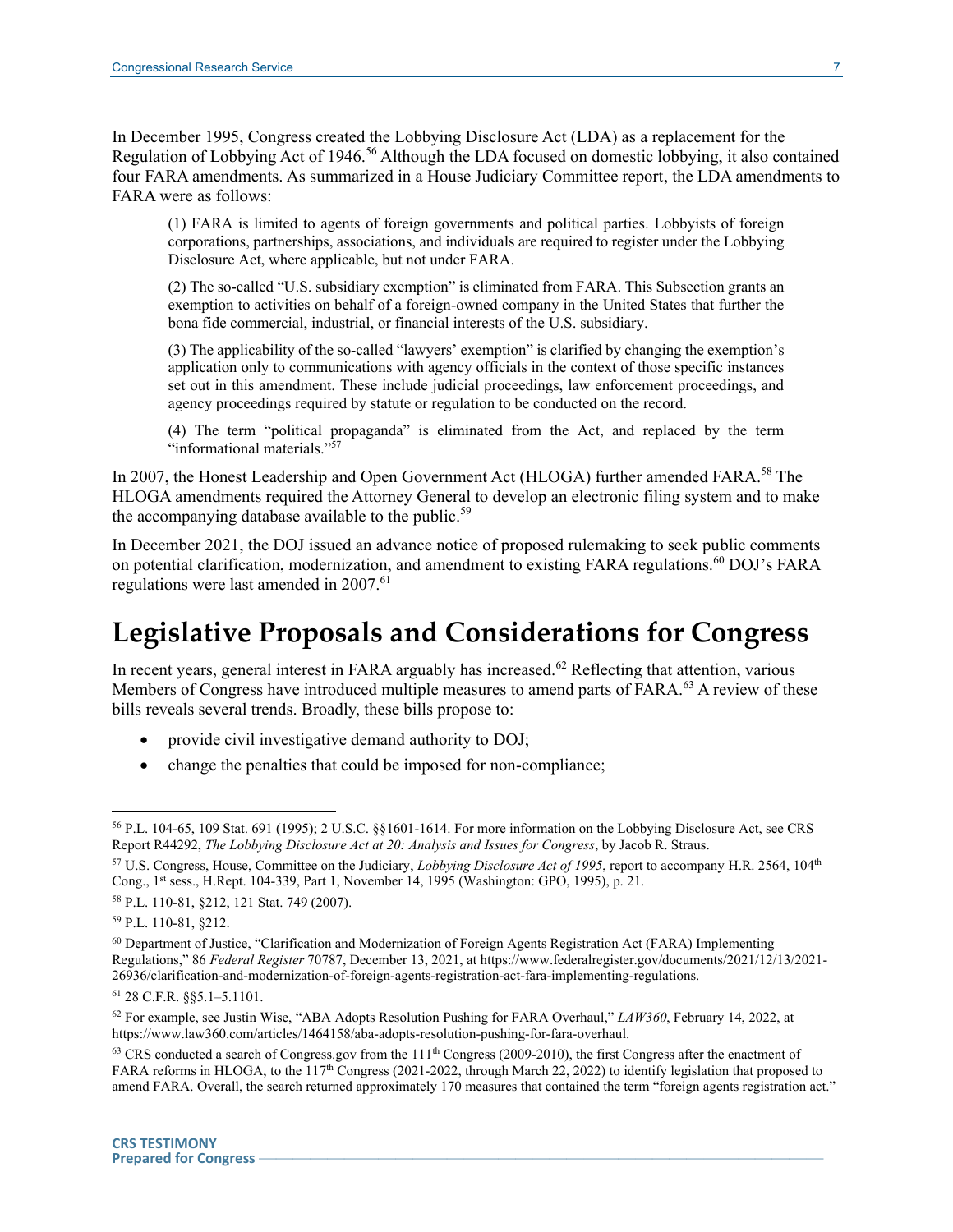In December 1995, Congress created the Lobbying Disclosure Act (LDA) as a replacement for the Regulation of Lobbying Act of 1946.<sup>56</sup> Although the LDA focused on domestic lobbying, it also contained four FARA amendments. As summarized in a House Judiciary Committee report, the LDA amendments to FARA were as follows:

(1) FARA is limited to agents of foreign governments and political parties. Lobbyists of foreign corporations, partnerships, associations, and individuals are required to register under the Lobbying Disclosure Act, where applicable, but not under FARA.

(2) The so-called "U.S. subsidiary exemption" is eliminated from FARA. This Subsection grants an exemption to activities on behalf of a foreign-owned company in the United States that further the bona fide commercial, industrial, or financial interests of the U.S. subsidiary.

(3) The applicability of the so-called "lawyers' exemption" is clarified by changing the exemption's application only to communications with agency officials in the context of those specific instances set out in this amendment. These include judicial proceedings, law enforcement proceedings, and agency proceedings required by statute or regulation to be conducted on the record.

(4) The term "political propaganda" is eliminated from the Act, and replaced by the term "informational materials." 57

In 2007, the Honest Leadership and Open Government Act (HLOGA) further amended FARA.<sup>58</sup> The HLOGA amendments required the Attorney General to develop an electronic filing system and to make the accompanying database available to the public.<sup>59</sup>

In December 2021, the DOJ issued an advance notice of proposed rulemaking to seek public comments on potential clarification, modernization, and amendment to existing FARA regulations.<sup>60</sup> DOJ's FARA regulations were last amended in 2007.<sup>61</sup>

# **Legislative Proposals and Considerations for Congress**

In recent years, general interest in FARA arguably has increased.<sup>62</sup> Reflecting that attention, various Members of Congress have introduced multiple measures to amend parts of FARA.<sup>63</sup> A review of these bills reveals several trends. Broadly, these bills propose to:

- provide civil investigative demand authority to DOJ;
- change the penalties that could be imposed for non-compliance;

<sup>56</sup> P.L. 104-65, 109 Stat. 691 (1995); 2 U.S.C. §§1601-1614. For more information on the Lobbying Disclosure Act, see CRS Report R44292, *The Lobbying Disclosure Act at 20: Analysis and Issues for Congress*, by Jacob R. Straus.

<sup>57</sup> U.S. Congress, House, Committee on the Judiciary, *Lobbying Disclosure Act of 1995*, report to accompany H.R. 2564, 104th Cong., 1st sess., H.Rept. 104-339, Part 1, November 14, 1995 (Washington: GPO, 1995), p. 21.

<sup>58</sup> P.L. 110-81, §212, 121 Stat. 749 (2007).

<sup>59</sup> P.L. 110-81, §212.

<sup>60</sup> Department of Justice, "Clarification and Modernization of Foreign Agents Registration Act (FARA) Implementing Regulations," 86 *Federal Register* 70787, December 13, 2021, at https://www.federalregister.gov/documents/2021/12/13/2021- 26936/clarification-and-modernization-of-foreign-agents-registration-act-fara-implementing-regulations.

<sup>61</sup> 28 C.F.R. §§5.1–5.1101.

<sup>62</sup> For example, see Justin Wise, "ABA Adopts Resolution Pushing for FARA Overhaul," *LAW360*, February 14, 2022, at https://www.law360.com/articles/1464158/aba-adopts-resolution-pushing-for-fara-overhaul.

 $^{63}$  CRS conducted a search of Congress.gov from the  $111<sup>th</sup>$  Congress (2009-2010), the first Congress after the enactment of FARA reforms in HLOGA, to the  $117<sup>th</sup>$  Congress (2021-2022, through March 22, 2022) to identify legislation that proposed to amend FARA. Overall, the search returned approximately 170 measures that contained the term "foreign agents registration act."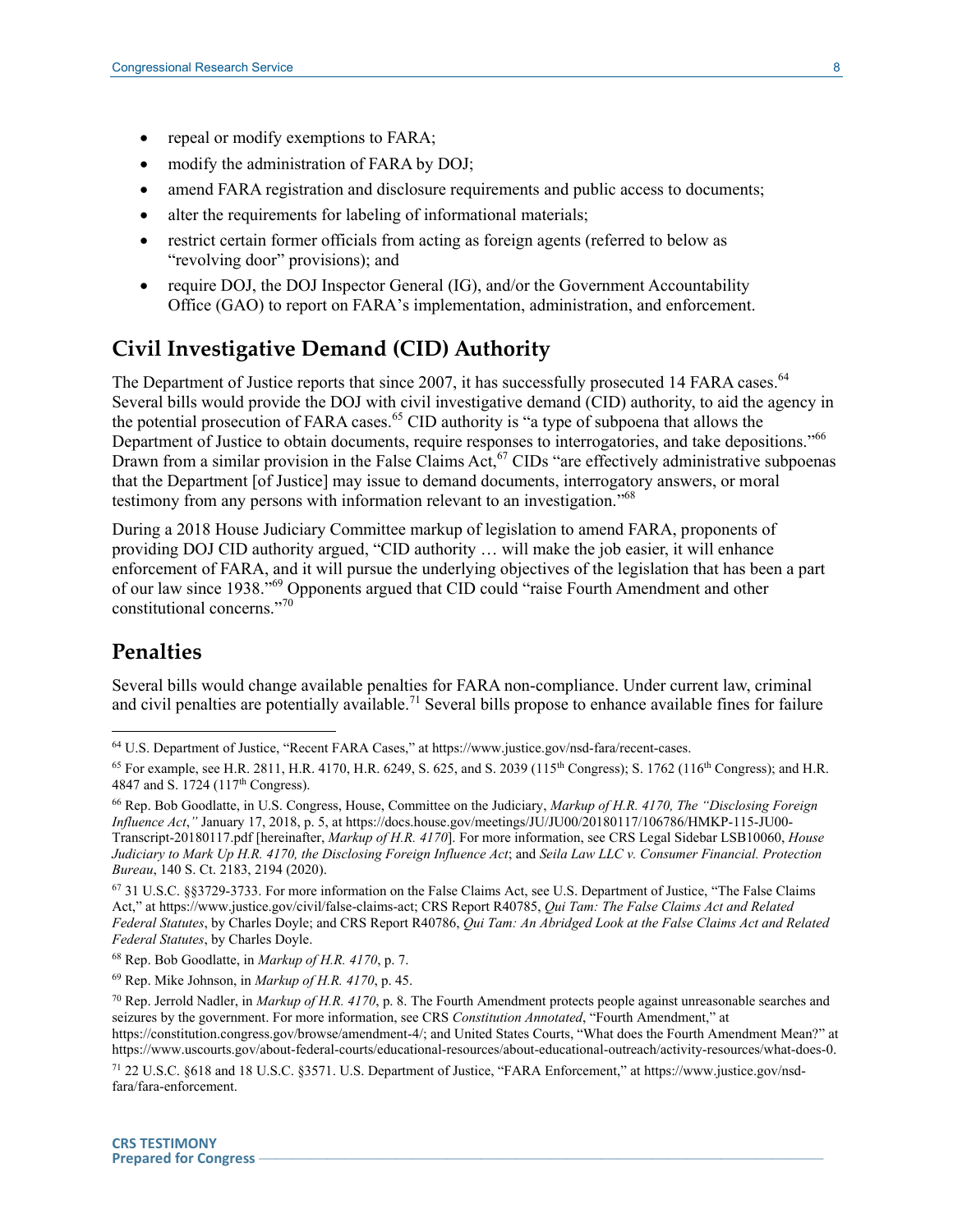- repeal or modify exemptions to FARA;
- modify the administration of FARA by DOJ;
- amend FARA registration and disclosure requirements and public access to documents;
- alter the requirements for labeling of informational materials;
- restrict certain former officials from acting as foreign agents (referred to below as "revolving door" provisions); and
- require DOJ, the DOJ Inspector General (IG), and/or the Government Accountability Office (GAO) to report on FARA's implementation, administration, and enforcement.

### **Civil Investigative Demand (CID) Authority**

The Department of Justice reports that since 2007, it has successfully prosecuted 14 FARA cases.<sup>64</sup> Several bills would provide the DOJ with civil investigative demand (CID) authority, to aid the agency in the potential prosecution of FARA cases.<sup>65</sup> CID authority is "a type of subpoena that allows the Department of Justice to obtain documents, require responses to interrogatories, and take depositions."<sup>66</sup> Drawn from a similar provision in the False Claims Act,  $67$  CIDs "are effectively administrative subpoenas that the Department [of Justice] may issue to demand documents, interrogatory answers, or moral testimony from any persons with information relevant to an investigation."<sup>68</sup>

During a 2018 House Judiciary Committee markup of legislation to amend FARA, proponents of providing DOJ CID authority argued, "CID authority … will make the job easier, it will enhance enforcement of FARA, and it will pursue the underlying objectives of the legislation that has been a part of our law since 1938." <sup>69</sup> Opponents argued that CID could "raise Fourth Amendment and other constitutional concerns." 70

#### **Penalties**

 $\overline{a}$ 

Several bills would change available penalties for FARA non-compliance. Under current law, criminal and civil penalties are potentially available.<sup>71</sup> Several bills propose to enhance available fines for failure

<sup>67</sup> 31 U.S.C. §§3729-3733. For more information on the False Claims Act, see U.S. Department of Justice, "The False Claims Act," at https://www.justice.gov/civil/false-claims-act; CRS Report R40785, *Qui Tam: The False Claims Act and Related Federal Statutes*, by Charles Doyle; and CRS Report R40786, *Qui Tam: An Abridged Look at the False Claims Act and Related Federal Statutes*, by Charles Doyle.

<sup>69</sup> Rep. Mike Johnson, in *Markup of H.R. 4170*, p. 45.

<sup>64</sup> U.S. Department of Justice, "Recent FARA Cases," at https://www.justice.gov/nsd-fara/recent-cases.

<sup>&</sup>lt;sup>65</sup> For example, see H.R. 2811, H.R. 4170, H.R. 6249, S. 625, and S. 2039 (115<sup>th</sup> Congress); S. 1762 (116<sup>th</sup> Congress); and H.R. 4847 and S. 1724 (117<sup>th</sup> Congress).

<sup>66</sup> Rep. Bob Goodlatte, in U.S. Congress, House, Committee on the Judiciary, *Markup of H.R. 4170, The "Disclosing Foreign Influence Act*,*"* January 17, 2018, p. 5, at https://docs.house.gov/meetings/JU/JU00/20180117/106786/HMKP-115-JU00- Transcript-20180117.pdf [hereinafter, *Markup of H.R. 4170*]. For more information, see CRS Legal Sidebar LSB10060, *House Judiciary to Mark Up H.R. 4170, the Disclosing Foreign Influence Act*; and *Seila Law LLC v. Consumer Financial. Protection Bureau*, 140 S. Ct. 2183, 2194 (2020).

<sup>68</sup> Rep. Bob Goodlatte, in *Markup of H.R. 4170*, p. 7.

<sup>70</sup> Rep. Jerrold Nadler, in *Markup of H.R. 4170*, p. 8. The Fourth Amendment protects people against unreasonable searches and seizures by the government. For more information, see CRS *Constitution Annotated*, "Fourth Amendment," at https://constitution.congress.gov/browse/amendment-4/; and United States Courts, "What does the Fourth Amendment Mean?" at https://www.uscourts.gov/about-federal-courts/educational-resources/about-educational-outreach/activity-resources/what-does-0.

<sup>71</sup> 22 U.S.C. §618 and 18 U.S.C. §3571. U.S. Department of Justice, "FARA Enforcement," at https://www.justice.gov/nsdfara/fara-enforcement.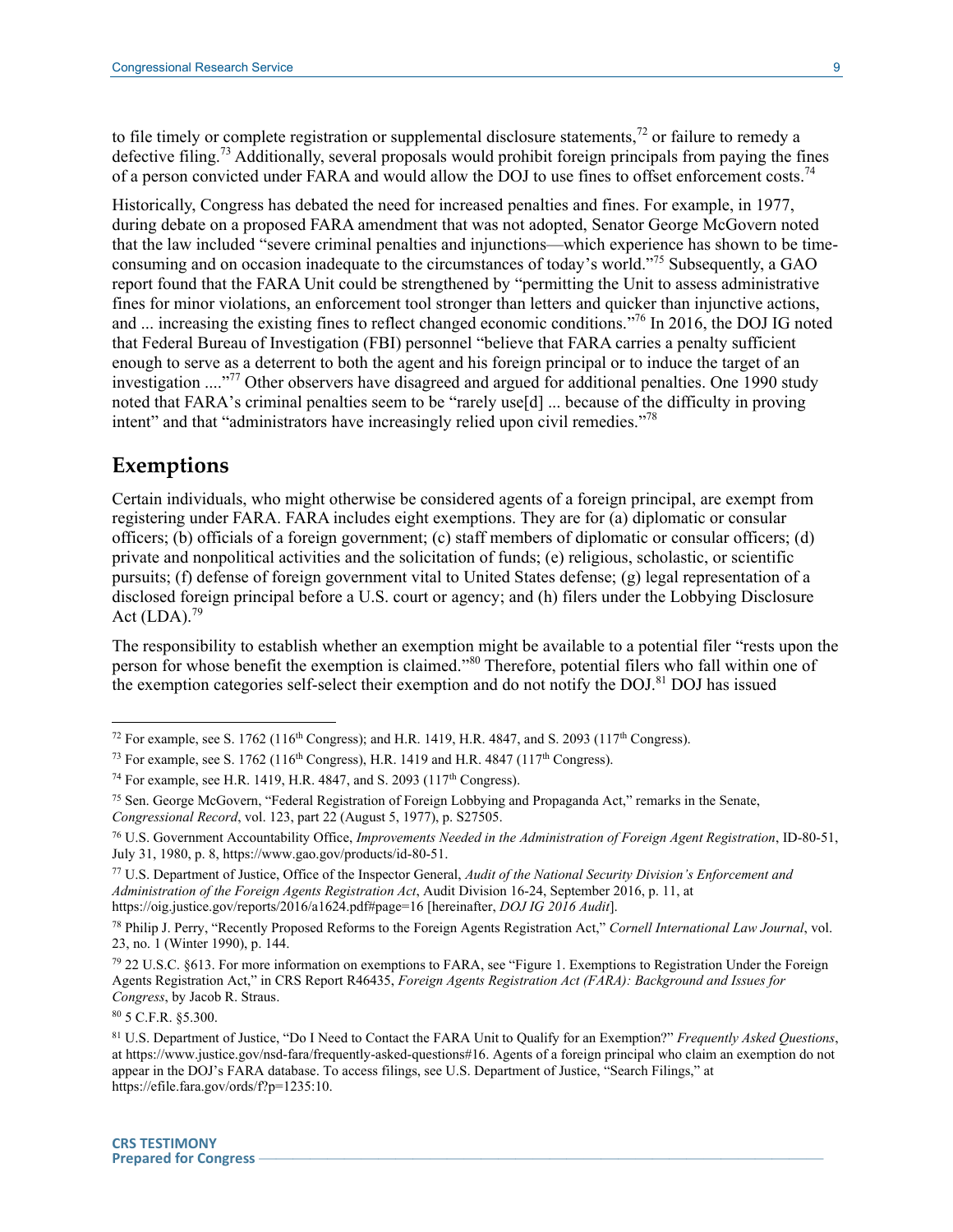to file timely or complete registration or supplemental disclosure statements,<sup>72</sup> or failure to remedy a defective filing.<sup>73</sup> Additionally, several proposals would prohibit foreign principals from paying the fines of a person convicted under FARA and would allow the DOJ to use fines to offset enforcement costs.<sup>74</sup>

Historically, Congress has debated the need for increased penalties and fines. For example, in 1977, during debate on a proposed FARA amendment that was not adopted, Senator George McGovern noted that the law included "severe criminal penalties and injunctions—which experience has shown to be timeconsuming and on occasion inadequate to the circumstances of today's world."<sup>75</sup> Subsequently, a GAO report found that the FARA Unit could be strengthened by "permitting the Unit to assess administrative fines for minor violations, an enforcement tool stronger than letters and quicker than injunctive actions, and ... increasing the existing fines to reflect changed economic conditions."<sup>76</sup> In 2016, the DOJ IG noted that Federal Bureau of Investigation (FBI) personnel "believe that FARA carries a penalty sufficient enough to serve as a deterrent to both the agent and his foreign principal or to induce the target of an investigation ...."<sup>77</sup> Other observers have disagreed and argued for additional penalties. One 1990 study noted that FARA's criminal penalties seem to be "rarely use[d] ... because of the difficulty in proving intent" and that "administrators have increasingly relied upon civil remedies."<sup>78</sup>

#### **Exemptions**

 $\overline{a}$ 

Certain individuals, who might otherwise be considered agents of a foreign principal, are exempt from registering under FARA. FARA includes eight exemptions. They are for (a) diplomatic or consular officers; (b) officials of a foreign government; (c) staff members of diplomatic or consular officers; (d) private and nonpolitical activities and the solicitation of funds; (e) religious, scholastic, or scientific pursuits; (f) defense of foreign government vital to United States defense; (g) legal representation of a disclosed foreign principal before a U.S. court or agency; and (h) filers under the Lobbying Disclosure Act  $(LDA).$ <sup>79</sup>

The responsibility to establish whether an exemption might be available to a potential filer "rests upon the person for whose benefit the exemption is claimed."<sup>80</sup> Therefore, potential filers who fall within one of the exemption categories self-select their exemption and do not notify the DOJ.<sup>81</sup> DOJ has issued

<sup>80</sup> 5 C.F.R. §5.300.

<sup>&</sup>lt;sup>72</sup> For example, see S. 1762 (116<sup>th</sup> Congress); and H.R. 1419, H.R. 4847, and S. 2093 (117<sup>th</sup> Congress).

<sup>&</sup>lt;sup>73</sup> For example, see S. 1762 (116<sup>th</sup> Congress), H.R. 1419 and H.R. 4847 (117<sup>th</sup> Congress).

<sup>&</sup>lt;sup>74</sup> For example, see H.R. 1419, H.R. 4847, and S. 2093 (117<sup>th</sup> Congress).

<sup>75</sup> Sen. George McGovern, "Federal Registration of Foreign Lobbying and Propaganda Act," remarks in the Senate, *Congressional Record*, vol. 123, part 22 (August 5, 1977), p. S27505.

<sup>76</sup> U.S. Government Accountability Office, *Improvements Needed in the Administration of Foreign Agent Registration*, ID-80-51, July 31, 1980, p. 8, https://www.gao.gov/products/id-80-51.

<sup>77</sup> U.S. Department of Justice, Office of the Inspector General, *Audit of the National Security Division's Enforcement and Administration of the Foreign Agents Registration Act*, Audit Division 16-24, September 2016, p. 11, at https://oig.justice.gov/reports/2016/a1624.pdf#page=16 [hereinafter, *DOJ IG 2016 Audit*].

<sup>78</sup> Philip J. Perry, "Recently Proposed Reforms to the Foreign Agents Registration Act," *Cornell International Law Journal*, vol. 23, no. 1 (Winter 1990), p. 144.

<sup>79</sup> 22 U.S.C. §613. For more information on exemptions to FARA, see "Figure 1. Exemptions to Registration Under the Foreign Agents Registration Act," in CRS Report R46435, *Foreign Agents Registration Act (FARA): Background and Issues for Congress*, by Jacob R. Straus.

<sup>81</sup> U.S. Department of Justice, "Do I Need to Contact the FARA Unit to Qualify for an Exemption?" *Frequently Asked Questions*, at https://www.justice.gov/nsd-fara/frequently-asked-questions#16. Agents of a foreign principal who claim an exemption do not appear in the DOJ's FARA database. To access filings, see U.S. Department of Justice, "Search Filings," at https://efile.fara.gov/ords/f?p=1235:10.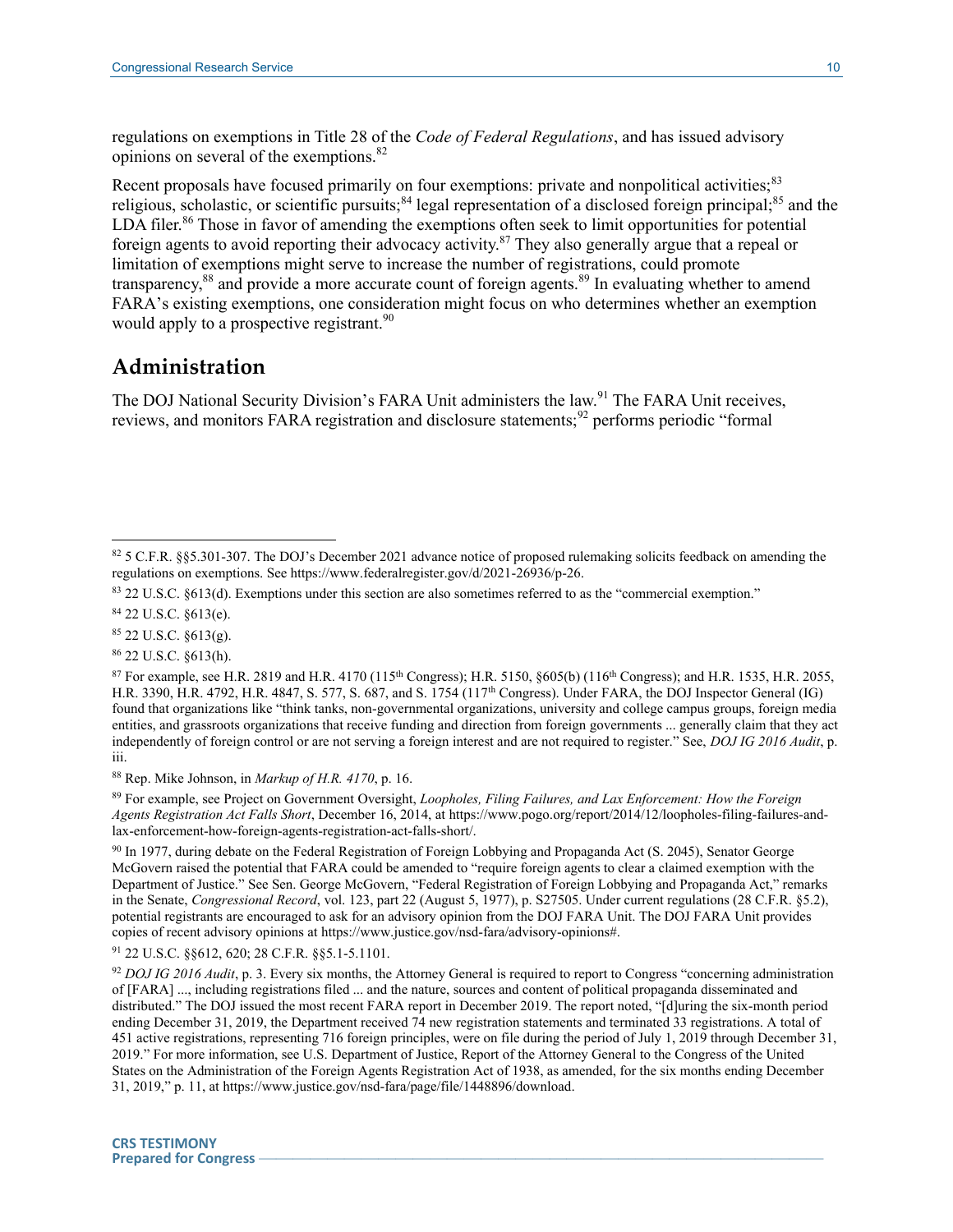regulations on exemptions in Title 28 of the *Code of Federal Regulations*, and has issued advisory opinions on several of the exemptions. 82

Recent proposals have focused primarily on four exemptions: private and nonpolitical activities;<sup>83</sup> religious, scholastic, or scientific pursuits;<sup>84</sup> legal representation of a disclosed foreign principal;<sup>85</sup> and the LDA filer.<sup>86</sup> Those in favor of amending the exemptions often seek to limit opportunities for potential foreign agents to avoid reporting their advocacy activity.<sup>87</sup> They also generally argue that a repeal or limitation of exemptions might serve to increase the number of registrations, could promote transparency,<sup>88</sup> and provide a more accurate count of foreign agents.<sup>89</sup> In evaluating whether to amend FARA's existing exemptions, one consideration might focus on who determines whether an exemption would apply to a prospective registrant.<sup>90</sup>

#### **Administration**

The DOJ National Security Division's FARA Unit administers the law.<sup>91</sup> The FARA Unit receives, reviews, and monitors FARA registration and disclosure statements;<sup>92</sup> performs periodic "formal

<sup>84</sup> 22 U.S.C. §613(e).

 $\overline{a}$ 

- <sup>85</sup> 22 U.S.C. §613(g).
- <sup>86</sup> 22 U.S.C. §613(h).

<sup>89</sup> For example, see Project on Government Oversight, *Loopholes, Filing Failures, and Lax Enforcement: How the Foreign Agents Registration Act Falls Short*, December 16, 2014, at https://www.pogo.org/report/2014/12/loopholes-filing-failures-andlax-enforcement-how-foreign-agents-registration-act-falls-short/.

<sup>90</sup> In 1977, during debate on the Federal Registration of Foreign Lobbying and Propaganda Act (S. 2045), Senator George McGovern raised the potential that FARA could be amended to "require foreign agents to clear a claimed exemption with the Department of Justice." See Sen. George McGovern, "Federal Registration of Foreign Lobbying and Propaganda Act," remarks in the Senate, *Congressional Record*, vol. 123, part 22 (August 5, 1977), p. S27505. Under current regulations (28 C.F.R. §5.2), potential registrants are encouraged to ask for an advisory opinion from the DOJ FARA Unit. The DOJ FARA Unit provides copies of recent advisory opinions at https://www.justice.gov/nsd-fara/advisory-opinions#.

<sup>91</sup> 22 U.S.C. §§612, 620; 28 C.F.R. §§5.1-5.1101.

<sup>92</sup> *DOJ IG 2016 Audit*, p. 3. Every six months, the Attorney General is required to report to Congress "concerning administration of [FARA] ..., including registrations filed ... and the nature, sources and content of political propaganda disseminated and distributed." The DOJ issued the most recent FARA report in December 2019. The report noted, "[d]uring the six-month period ending December 31, 2019, the Department received 74 new registration statements and terminated 33 registrations. A total of 451 active registrations, representing 716 foreign principles, were on file during the period of July 1, 2019 through December 31, 2019." For more information, see U.S. Department of Justice, Report of the Attorney General to the Congress of the United States on the Administration of the Foreign Agents Registration Act of 1938, as amended, for the six months ending December 31, 2019," p. 11, at https://www.justice.gov/nsd-fara/page/file/1448896/download.

<sup>82 5</sup> C.F.R. §§5.301-307. The DOJ's December 2021 advance notice of proposed rulemaking solicits feedback on amending the regulations on exemptions. See https://www.federalregister.gov/d/2021-26936/p-26.

<sup>83</sup> 22 U.S.C. §613(d). Exemptions under this section are also sometimes referred to as the "commercial exemption."

 $87$  For example, see H.R. 2819 and H.R. 4170 (115<sup>th</sup> Congress); H.R. 5150, §605(b) (116<sup>th</sup> Congress); and H.R. 1535, H.R. 2055, H.R. 3390, H.R. 4792, H.R. 4847, S. 577, S. 687, and S. 1754 (117<sup>th</sup> Congress). Under FARA, the DOJ Inspector General (IG) found that organizations like "think tanks, non-governmental organizations, university and college campus groups, foreign media entities, and grassroots organizations that receive funding and direction from foreign governments ... generally claim that they act independently of foreign control or are not serving a foreign interest and are not required to register." See, *DOJ IG 2016 Audit*, p. iii.

<sup>88</sup> Rep. Mike Johnson, in *Markup of H.R. 4170*, p. 16.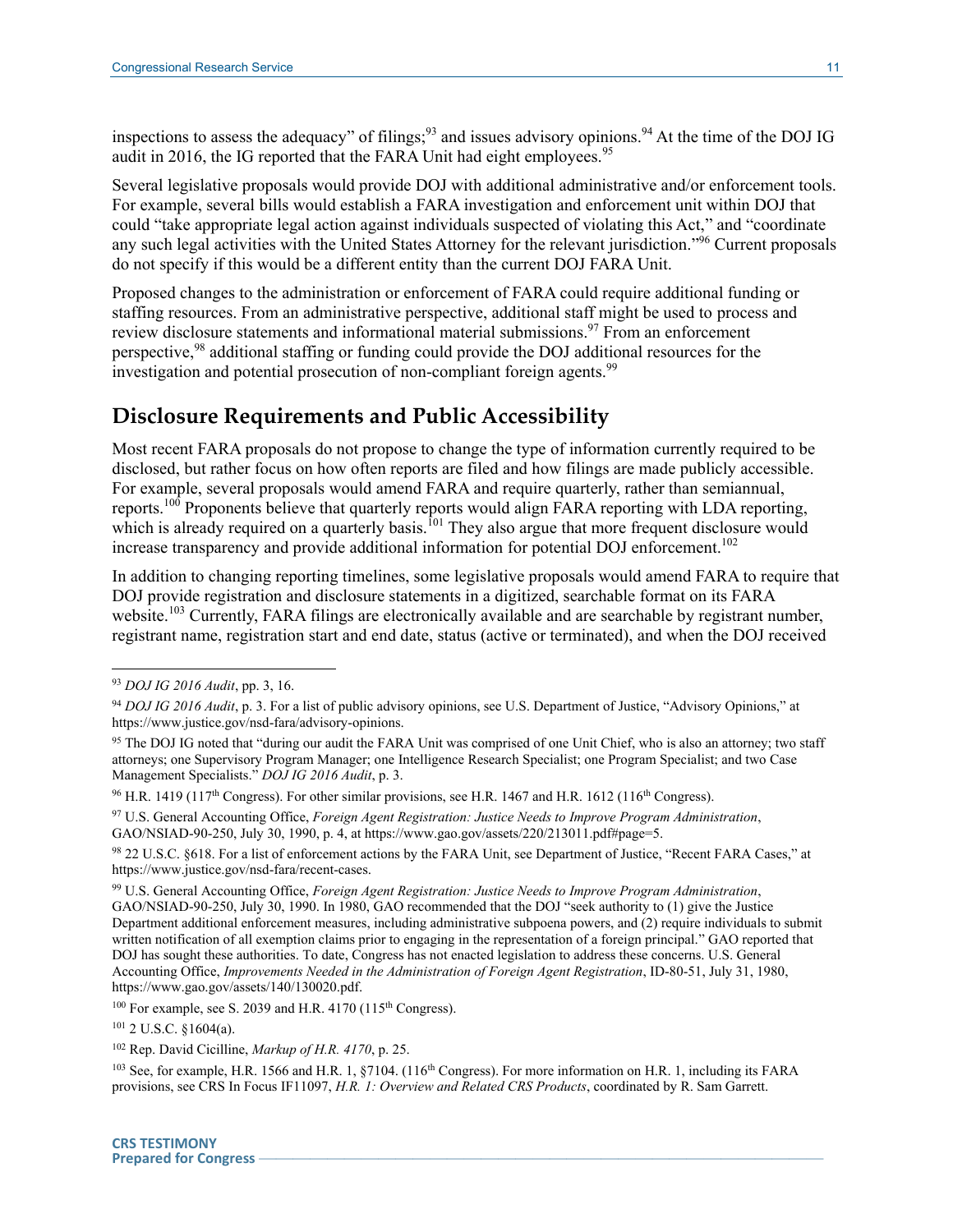inspections to assess the adequacy" of filings;<sup>93</sup> and issues advisory opinions.<sup>94</sup> At the time of the DOJ IG audit in 2016, the IG reported that the FARA Unit had eight employees.<sup>95</sup>

Several legislative proposals would provide DOJ with additional administrative and/or enforcement tools. For example, several bills would establish a FARA investigation and enforcement unit within DOJ that could "take appropriate legal action against individuals suspected of violating this Act," and "coordinate any such legal activities with the United States Attorney for the relevant jurisdiction."<sup>96</sup> Current proposals do not specify if this would be a different entity than the current DOJ FARA Unit.

Proposed changes to the administration or enforcement of FARA could require additional funding or staffing resources. From an administrative perspective, additional staff might be used to process and review disclosure statements and informational material submissions.<sup>97</sup> From an enforcement perspective,<sup>98</sup> additional staffing or funding could provide the DOJ additional resources for the investigation and potential prosecution of non-compliant foreign agents.<sup>99</sup>

## **Disclosure Requirements and Public Accessibility**

Most recent FARA proposals do not propose to change the type of information currently required to be disclosed, but rather focus on how often reports are filed and how filings are made publicly accessible. For example, several proposals would amend FARA and require quarterly, rather than semiannual, reports.<sup>100</sup> Proponents believe that quarterly reports would align FARA reporting with LDA reporting, which is already required on a quarterly basis.<sup>101</sup> They also argue that more frequent disclosure would increase transparency and provide additional information for potential DOJ enforcement.<sup>102</sup>

In addition to changing reporting timelines, some legislative proposals would amend FARA to require that DOJ provide registration and disclosure statements in a digitized, searchable format on its FARA website.<sup>103</sup> Currently, FARA filings are electronically available and are searchable by registrant number, registrant name, registration start and end date, status (active or terminated), and when the DOJ received

<sup>93</sup> *DOJ IG 2016 Audit*, pp. 3, 16.

<sup>94</sup> *DOJ IG 2016 Audit*, p. 3. For a list of public advisory opinions, see U.S. Department of Justice, "Advisory Opinions," at https://www.justice.gov/nsd-fara/advisory-opinions.

<sup>&</sup>lt;sup>95</sup> The DOJ IG noted that "during our audit the FARA Unit was comprised of one Unit Chief, who is also an attorney; two staff attorneys; one Supervisory Program Manager; one Intelligence Research Specialist; one Program Specialist; and two Case Management Specialists." *DOJ IG 2016 Audit*, p. 3.

<sup>&</sup>lt;sup>96</sup> H.R. 1419 (117<sup>th</sup> Congress). For other similar provisions, see H.R. 1467 and H.R. 1612 (116<sup>th</sup> Congress).

<sup>97</sup> U.S. General Accounting Office, *Foreign Agent Registration: Justice Needs to Improve Program Administration*, GAO/NSIAD-90-250, July 30, 1990, p. 4, at https://www.gao.gov/assets/220/213011.pdf#page=5.

<sup>98</sup> 22 U.S.C. §618. For a list of enforcement actions by the FARA Unit, see Department of Justice, "Recent FARA Cases," at https://www.justice.gov/nsd-fara/recent-cases.

<sup>99</sup> U.S. General Accounting Office, *Foreign Agent Registration: Justice Needs to Improve Program Administration*, GAO/NSIAD-90-250, July 30, 1990. In 1980, GAO recommended that the DOJ "seek authority to (1) give the Justice Department additional enforcement measures, including administrative subpoena powers, and (2) require individuals to submit written notification of all exemption claims prior to engaging in the representation of a foreign principal." GAO reported that DOJ has sought these authorities. To date, Congress has not enacted legislation to address these concerns. U.S. General Accounting Office, *Improvements Needed in the Administration of Foreign Agent Registration*, ID-80-51, July 31, 1980, https://www.gao.gov/assets/140/130020.pdf.

<sup>&</sup>lt;sup>100</sup> For example, see S. 2039 and H.R. 4170 (115<sup>th</sup> Congress).

<sup>101</sup> 2 U.S.C. §1604(a).

<sup>102</sup> Rep. David Cicilline, *Markup of H.R. 4170*, p. 25.

<sup>103</sup> See, for example, H.R. 1566 and H.R. 1, §7104. (116<sup>th</sup> Congress). For more information on H.R. 1, including its FARA provisions, see CRS In Focus IF11097, *H.R. 1: Overview and Related CRS Products*, coordinated by R. Sam Garrett.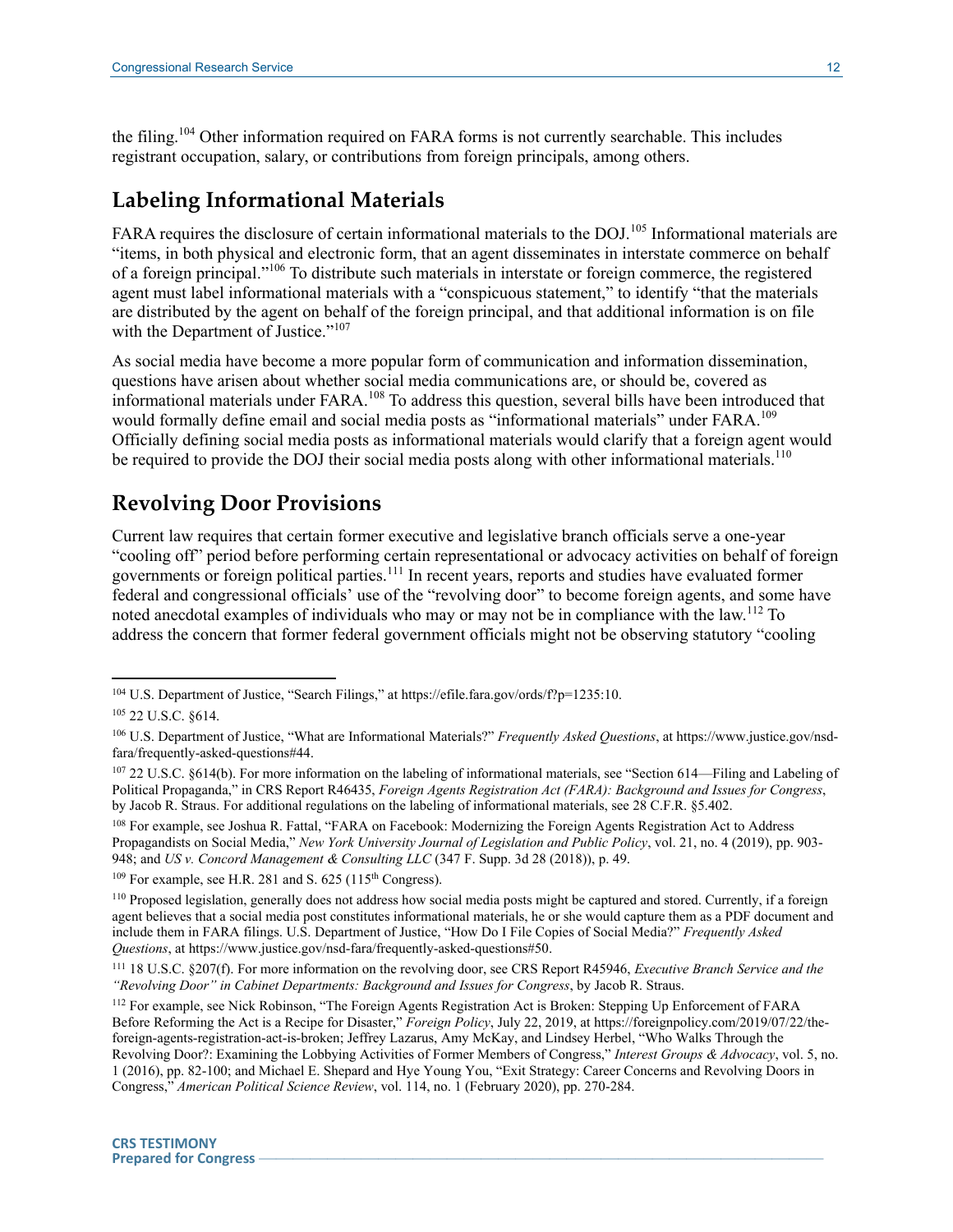the filing.<sup>104</sup> Other information required on FARA forms is not currently searchable. This includes registrant occupation, salary, or contributions from foreign principals, among others.

## **Labeling Informational Materials**

FARA requires the disclosure of certain informational materials to the DOJ.<sup>105</sup> Informational materials are "items, in both physical and electronic form, that an agent disseminates in interstate commerce on behalf of a foreign principal."<sup>106</sup> To distribute such materials in interstate or foreign commerce, the registered agent must label informational materials with a "conspicuous statement," to identify "that the materials are distributed by the agent on behalf of the foreign principal, and that additional information is on file with the Department of Justice."<sup>107</sup>

As social media have become a more popular form of communication and information dissemination, questions have arisen about whether social media communications are, or should be, covered as informational materials under FARA.<sup>108</sup> To address this question, several bills have been introduced that would formally define email and social media posts as "informational materials" under FARA.<sup>109</sup> Officially defining social media posts as informational materials would clarify that a foreign agent would be required to provide the DOJ their social media posts along with other informational materials.<sup>110</sup>

# **Revolving Door Provisions**

Current law requires that certain former executive and legislative branch officials serve a one-year "cooling off" period before performing certain representational or advocacy activities on behalf of foreign governments or foreign political parties.<sup>111</sup> In recent years, reports and studies have evaluated former federal and congressional officials' use of the "revolving door" to become foreign agents, and some have noted anecdotal examples of individuals who may or may not be in compliance with the law.<sup>112</sup> To address the concern that former federal government officials might not be observing statutory "cooling

 $\overline{a}$ 

<sup>108</sup> For example, see Joshua R. Fattal, "FARA on Facebook: Modernizing the Foreign Agents Registration Act to Address Propagandists on Social Media," *New York University Journal of Legislation and Public Policy*, vol. 21, no. 4 (2019), pp. 903- 948; and *US v. Concord Management & Consulting LLC* (347 F. Supp. 3d 28 (2018)), p. 49.

<sup>&</sup>lt;sup>104</sup> U.S. Department of Justice, "Search Filings," at https://efile.fara.gov/ords/f?p=1235:10.

<sup>105</sup> 22 U.S.C. §614.

<sup>106</sup> U.S. Department of Justice, "What are Informational Materials?" *Frequently Asked Questions*, at https://www.justice.gov/nsdfara/frequently-asked-questions#44.

<sup>107</sup> 22 U.S.C. §614(b). For more information on the labeling of informational materials, see "Section 614—Filing and Labeling of Political Propaganda," in CRS Report R46435, *Foreign Agents Registration Act (FARA): Background and Issues for Congress*, by Jacob R. Straus. For additional regulations on the labeling of informational materials, see 28 C.F.R. §5.402.

 $109$  For example, see H.R. 281 and S. 625 (115<sup>th</sup> Congress).

<sup>110</sup> Proposed legislation, generally does not address how social media posts might be captured and stored. Currently, if a foreign agent believes that a social media post constitutes informational materials, he or she would capture them as a PDF document and include them in FARA filings. U.S. Department of Justice, "How Do I File Copies of Social Media?" *Frequently Asked Questions*, at https://www.justice.gov/nsd-fara/frequently-asked-questions#50.

<sup>111</sup> 18 U.S.C. §207(f). For more information on the revolving door, see CRS Report R45946, *Executive Branch Service and the "Revolving Door" in Cabinet Departments: Background and Issues for Congress*, by Jacob R. Straus.

<sup>112</sup> For example, see Nick Robinson, "The Foreign Agents Registration Act is Broken: Stepping Up Enforcement of FARA Before Reforming the Act is a Recipe for Disaster," *Foreign Policy*, July 22, 2019, at https://foreignpolicy.com/2019/07/22/theforeign-agents-registration-act-is-broken; Jeffrey Lazarus, Amy McKay, and Lindsey Herbel, "Who Walks Through the Revolving Door?: Examining the Lobbying Activities of Former Members of Congress," *Interest Groups & Advocacy*, vol. 5, no. 1 (2016), pp. 82-100; and Michael E. Shepard and Hye Young You, "Exit Strategy: Career Concerns and Revolving Doors in Congress," *American Political Science Review*, vol. 114, no. 1 (February 2020), pp. 270-284.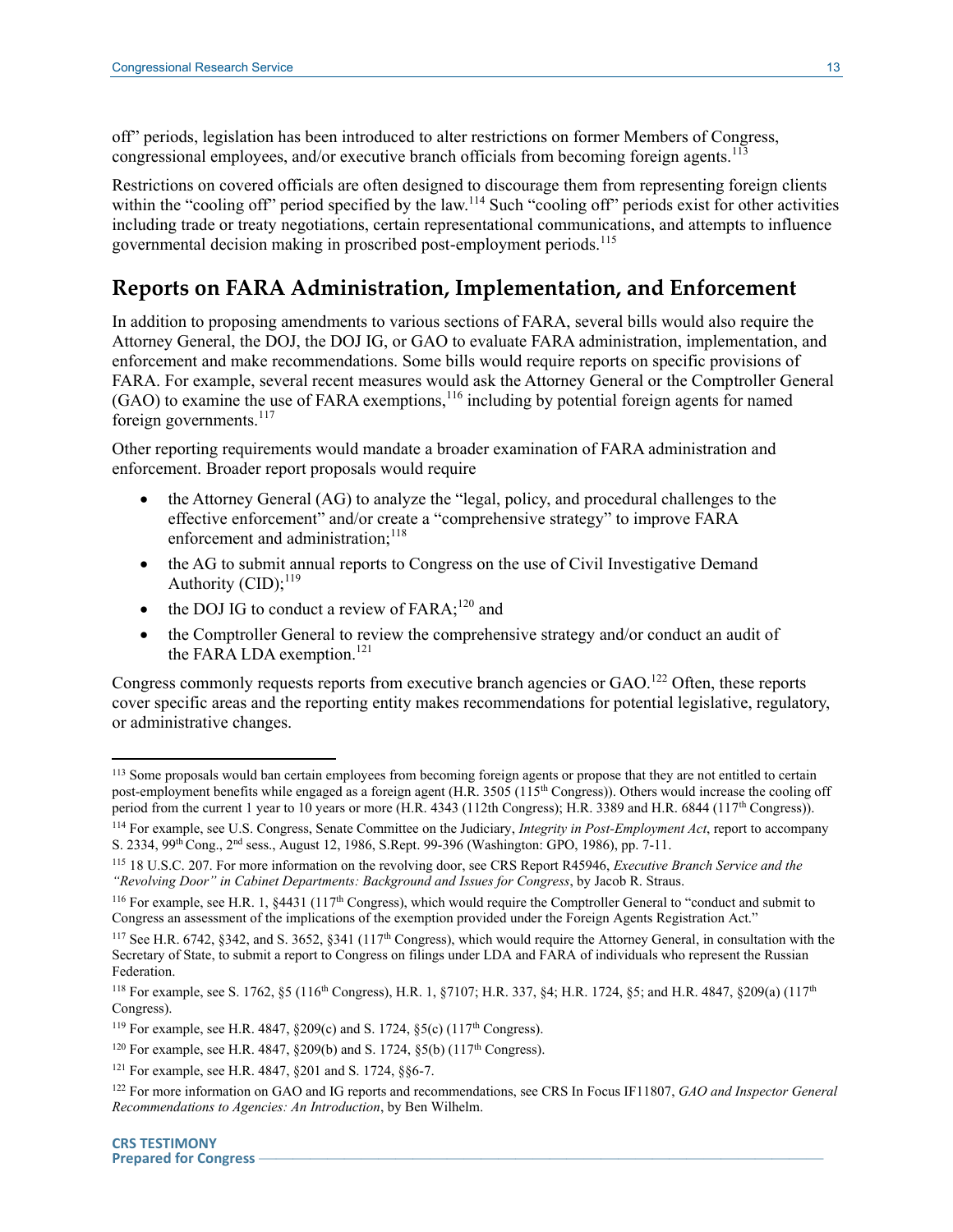off" periods, legislation has been introduced to alter restrictions on former Members of Congress, congressional employees, and/or executive branch officials from becoming foreign agents.<sup>113</sup>

Restrictions on covered officials are often designed to discourage them from representing foreign clients within the "cooling off" period specified by the law.<sup>114</sup> Such "cooling off" periods exist for other activities including trade or treaty negotiations, certain representational communications, and attempts to influence governmental decision making in proscribed post-employment periods.<sup>115</sup>

### **Reports on FARA Administration, Implementation, and Enforcement**

In addition to proposing amendments to various sections of FARA, several bills would also require the Attorney General, the DOJ, the DOJ IG, or GAO to evaluate FARA administration, implementation, and enforcement and make recommendations. Some bills would require reports on specific provisions of FARA. For example, several recent measures would ask the Attorney General or the Comptroller General  $(GAO)$  to examine the use of FARA exemptions,  $^{116}$  including by potential foreign agents for named foreign governments.<sup>117</sup>

Other reporting requirements would mandate a broader examination of FARA administration and enforcement. Broader report proposals would require

- the Attorney General (AG) to analyze the "legal, policy, and procedural challenges to the effective enforcement" and/or create a "comprehensive strategy" to improve FARA enforcement and administration: $118$
- the AG to submit annual reports to Congress on the use of Civil Investigative Demand Authority (CID); $^{119}$
- $\bullet$  the DOJ IG to conduct a review of FARA;<sup>120</sup> and
- the Comptroller General to review the comprehensive strategy and/or conduct an audit of the FARA LDA exemption.<sup>121</sup>

Congress commonly requests reports from executive branch agencies or GAO.<sup>122</sup> Often, these reports cover specific areas and the reporting entity makes recommendations for potential legislative, regulatory, or administrative changes.

<sup>&</sup>lt;sup>113</sup> Some proposals would ban certain employees from becoming foreign agents or propose that they are not entitled to certain post-employment benefits while engaged as a foreign agent (H.R. 3505 (115<sup>th</sup> Congress)). Others would increase the cooling off period from the current 1 year to 10 years or more (H.R. 4343 (112th Congress); H.R. 3389 and H.R. 6844 (117<sup>th</sup> Congress)).

<sup>114</sup> For example, see U.S. Congress, Senate Committee on the Judiciary, *Integrity in Post-Employment Act*, report to accompany S. 2334, 99<sup>th</sup> Cong., 2<sup>nd</sup> sess., August 12, 1986, S.Rept. 99-396 (Washington: GPO, 1986), pp. 7-11.

<sup>115</sup> 18 U.S.C. 207. For more information on the revolving door, see CRS Report R45946, *Executive Branch Service and the "Revolving Door" in Cabinet Departments: Background and Issues for Congress*, by Jacob R. Straus.

 $116$  For example, see H.R. 1,  $$4431$  ( $117<sup>th</sup>$  Congress), which would require the Comptroller General to "conduct and submit to Congress an assessment of the implications of the exemption provided under the Foreign Agents Registration Act."

<sup>&</sup>lt;sup>117</sup> See H.R. 6742, §342, and S. 3652, §341 (117<sup>th</sup> Congress), which would require the Attorney General, in consultation with the Secretary of State, to submit a report to Congress on filings under LDA and FARA of individuals who represent the Russian Federation.

<sup>118</sup> For example, see S. 1762, §5 (116th Congress), H.R. 1, §7107; H.R. 337, §4; H.R. 1724, §5; and H.R. 4847, §209(a) (117th Congress).

<sup>&</sup>lt;sup>119</sup> For example, see H.R. 4847, §209(c) and S. 1724, §5(c) (117<sup>th</sup> Congress).

<sup>120</sup> For example, see H.R. 4847, §209(b) and S. 1724, §5(b) (117<sup>th</sup> Congress).

<sup>121</sup> For example, see H.R. 4847, §201 and S. 1724, §§6-7.

<sup>122</sup> For more information on GAO and IG reports and recommendations, see CRS In Focus IF11807, *GAO and Inspector General Recommendations to Agencies: An Introduction*, by Ben Wilhelm.